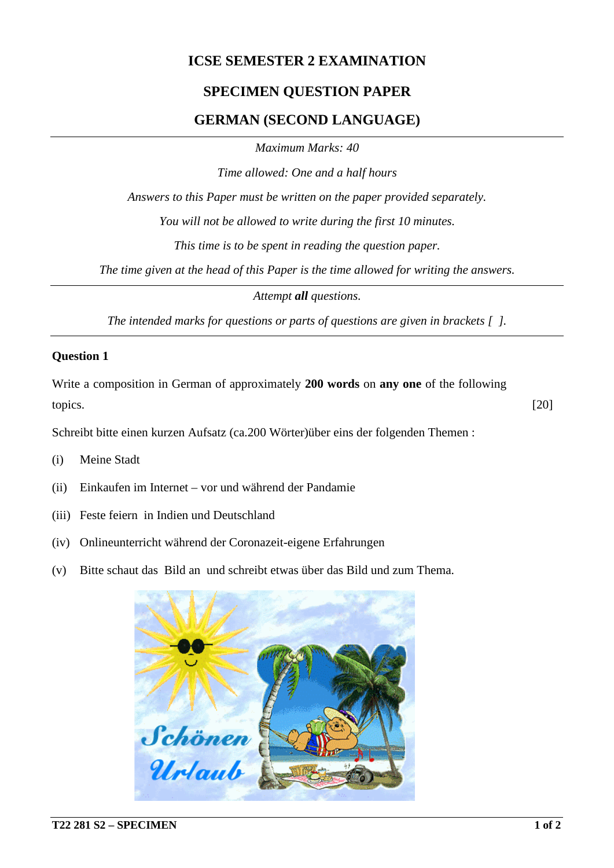## **ICSE SEMESTER 2 EXAMINATION**

# **SPECIMEN QUESTION PAPER**

## **GERMAN (SECOND LANGUAGE)**

*Maximum Marks: 40*

*Time allowed: One and a half hours*

*Answers to this Paper must be written on the paper provided separately.*

*You will not be allowed to write during the first 10 minutes.*

*This time is to be spent in reading the question paper.*

*The time given at the head of this Paper is the time allowed for writing the answers.*

*Attempt all questions.*

*The intended marks for questions or parts of questions are given in brackets [ ].*

### **Question 1**

Write a composition in German of approximately **200 words** on **any one** of the following topics. [20]

Schreibt bitte einen kurzen Aufsatz (ca.200 Wörter)über eins der folgenden Themen :

- (i) Meine Stadt
- (ii) Einkaufen im Internet vor und während der Pandamie
- (iii) Feste feiern in Indien und Deutschland
- (iv) Onlineunterricht während der Coronazeit-eigene Erfahrungen
- (v) Bitte schaut das Bild an und schreibt etwas über das Bild und zum Thema.